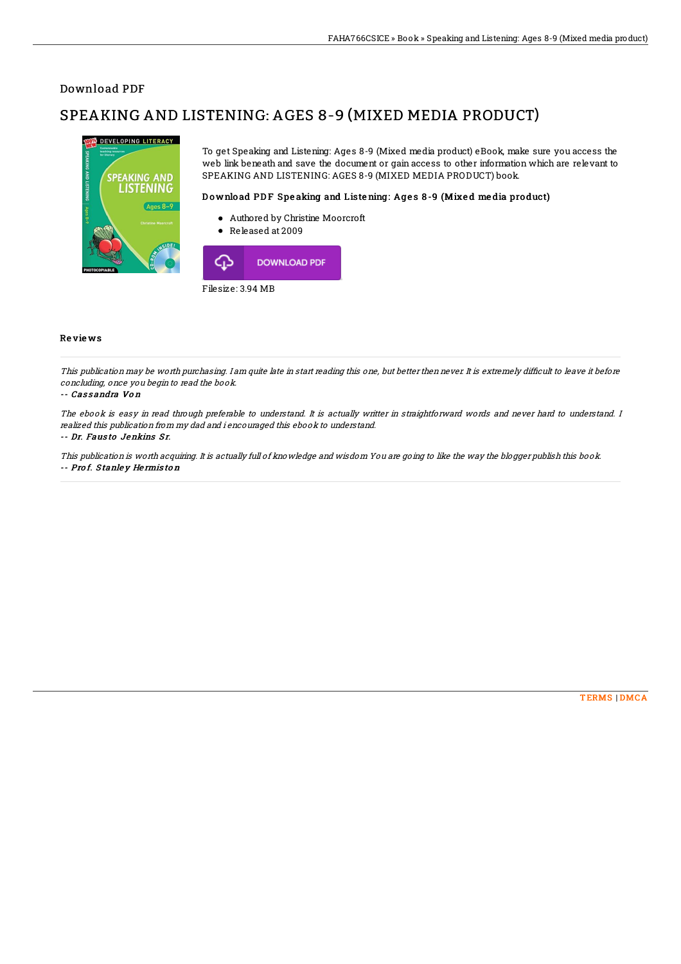## Download PDF

# SPEAKING AND LISTENING: AGES 8-9 (MIXED MEDIA PRODUCT)



To get Speaking and Listening: Ages 8-9 (Mixed media product) eBook, make sure you access the web link beneath and save the document or gain access to other information which are relevant to SPEAKING AND LISTENING: AGES 8-9 (MIXED MEDIA PRODUCT) book.

### Download PDF Speaking and Listening: Ages 8-9 (Mixed media product)

- Authored by Christine Moorcroft
- $\bullet$ Released at 2009



Filesize: 3.94 MB

### Re vie ws

This publication may be worth purchasing. I am quite late in start reading this one, but better then never. It is extremely difficult to leave it before concluding, once you begin to read the book.

-- Cassandra Von

The ebook is easy in read through preferable to understand. It is actually writter in straightforward words and never hard to understand. I realized this publication from my dad and i encouraged this ebook to understand.

#### -- Dr. Fausto Jenkins Sr.

This publication is worth acquiring. It is actually full of knowledge and wisdom You are going to like the way the blogger publish this book. -- Pro f. S tanle y He rmis to <sup>n</sup>